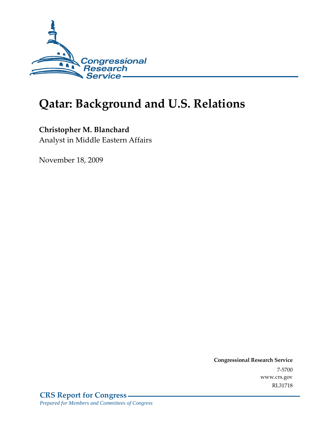

# **Qatar: Background and U.S. Relations**

## **Christopher M. Blanchard**

Analyst in Middle Eastern Affairs

November 18, 2009

**Congressional Research Service** 7-5700 www.crs.gov RL31718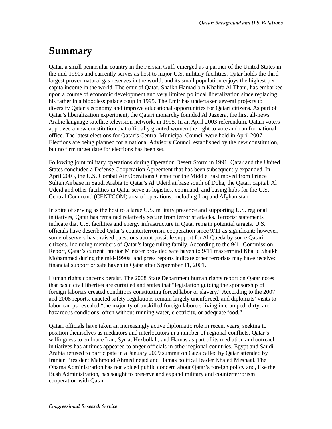# **Summary**

Qatar, a small peninsular country in the Persian Gulf, emerged as a partner of the United States in the mid-1990s and currently serves as host to major U.S. military facilities. Qatar holds the thirdlargest proven natural gas reserves in the world, and its small population enjoys the highest per capita income in the world. The emir of Qatar, Shaikh Hamad bin Khalifa Al Thani, has embarked upon a course of economic development and very limited political liberalization since replacing his father in a bloodless palace coup in 1995. The Emir has undertaken several projects to diversify Qatar's economy and improve educational opportunities for Qatari citizens. As part of Qatar's liberalization experiment, the Qatari monarchy founded Al Jazeera, the first all-news Arabic language satellite television network, in 1995. In an April 2003 referendum, Qatari voters approved a new constitution that officially granted women the right to vote and run for national office. The latest elections for Qatar's Central Municipal Council were held in April 2007. Elections are being planned for a national Advisory Council established by the new constitution, but no firm target date for elections has been set.

Following joint military operations during Operation Desert Storm in 1991, Qatar and the United States concluded a Defense Cooperation Agreement that has been subsequently expanded. In April 2003, the U.S. Combat Air Operations Center for the Middle East moved from Prince Sultan Airbase in Saudi Arabia to Qatar's Al Udeid airbase south of Doha, the Qatari capital. Al Udeid and other facilities in Qatar serve as logistics, command, and basing hubs for the U.S. Central Command (CENTCOM) area of operations, including Iraq and Afghanistan.

In spite of serving as the host to a large U.S. military presence and supporting U.S. regional initiatives, Qatar has remained relatively secure from terrorist attacks. Terrorist statements indicate that U.S. facilities and energy infrastructure in Qatar remain potential targets. U.S. officials have described Qatar's counterterrorism cooperation since 9/11 as significant; however, some observers have raised questions about possible support for Al Qaeda by some Qatari citizens, including members of Qatar's large ruling family. According to the 9/11 Commission Report, Qatar's current Interior Minister provided safe haven to 9/11 mastermind Khalid Shaikh Mohammed during the mid-1990s, and press reports indicate other terrorists may have received financial support or safe haven in Qatar after September 11, 2001.

Human rights concerns persist. The 2008 State Department human rights report on Qatar notes that basic civil liberties are curtailed and states that "legislation guiding the sponsorship of foreign laborers created conditions constituting forced labor or slavery." According to the 2007 and 2008 reports, enacted safety regulations remain largely unenforced, and diplomats' visits to labor camps revealed "the majority of unskilled foreign laborers living in cramped, dirty, and hazardous conditions, often without running water, electricity, or adequate food."

Qatari officials have taken an increasingly active diplomatic role in recent years, seeking to position themselves as mediators and interlocutors in a number of regional conflicts. Qatar's willingness to embrace Iran, Syria, Hezbollah, and Hamas as part of its mediation and outreach initiatives has at times appeared to anger officials in other regional countries. Egypt and Saudi Arabia refused to participate in a January 2009 summit on Gaza called by Qatar attended by Iranian President Mahmoud Ahmedinejad and Hamas political leader Khaled Meshaal. The Obama Administration has not voiced public concern about Qatar's foreign policy and, like the Bush Administration, has sought to preserve and expand military and counterterrorism cooperation with Qatar.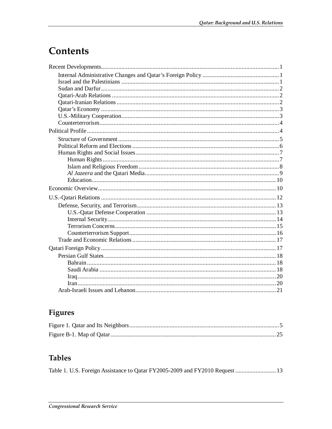# Contents

# Figures

## **Tables**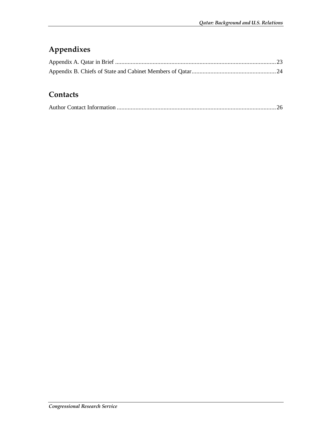# **Appendixes**

## **Contacts**

|--|--|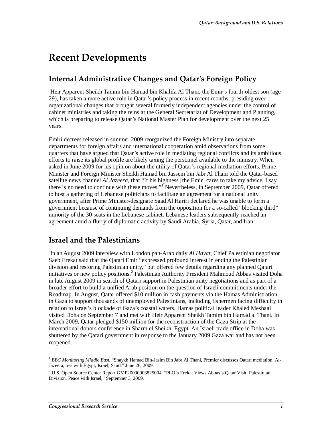# **Recent Developments**

## **Internal Administrative Changes and Qatar's Foreign Policy**

 Heir Apparent Sheikh Tamim bin Hamad bin Khalifa Al Thani, the Emir's fourth-oldest son (age 29), has taken a more active role in Qatar's policy process in recent months, presiding over organizational changes that brought several formerly independent agencies under the control of cabinet ministries and taking the reins at the General Secretariat of Development and Planning, which is preparing to release Qatar's National Master Plan for development over the next 25 years.

Emiri decrees released in summer 2009 reorganized the Foreign Ministry into separate departments for foreign affairs and international cooperation amid observations from some quarters that have argued that Qatar's active role in mediating regional conflicts and its ambitious efforts to raise its global profile are likely taxing the personnel available to the ministry. When asked in June 2009 for his opinion about the utility of Qatar's regional mediation efforts, Prime Minister and Foreign Minister Sheikh Hamad bin Jassem bin Jabr Al Thani told the Qatar-based satellite news channel *Al Jazeera*, that "If his highness [the Emir] cares to take my advice, I say there is no need to continue with these moves."<sup>1</sup> Nevertheless, in September 2009, Qatar offered to host a gathering of Lebanese politicians to facilitate an agreement for a national unity government, after Prime Minister-designate Saad Al Hariri declared he was unable to form a government because of continuing demands from the opposition for a so-called "blocking third" minority of the 30 seats in the Lebanese cabinet. Lebanese leaders subsequently reached an agreement amid a flurry of diplomatic activity by Saudi Arabia, Syria, Qatar, and Iran.

### **Israel and the Palestinians**

 In an August 2009 interview with London pan-Arab daily *Al Hayat*, Chief Palestinian negotiator Saeb Erekat said that the Qatari Emir "expressed profound interest in ending the Palestinian division and restoring Palestinian unity," but offered few details regarding any planned Qatari initiatives or new policy positions.<sup>2</sup> Palestinian Authority President Mahmoud Abbas visited Doha in late August 2009 in search of Qatari support in Palestinian unity negotiations and as part of a broader effort to build a unified Arab position on the question of Israeli commitments under the Roadmap. In August, Qatar offered \$10 million in cash payments via the Hamas Administration in Gaza to support thousands of unemployed Palestinians, including fishermen facing difficulty in relation to Israel's blockade of Gaza's coastal waters. Hamas political leader Khaled Meshaal visited Doha on September 7 and met with Heir Apparent Sheikh Tamim bin Hamad al Thani. In March 2009, Qatar pledged \$150 million for the reconstruction of the Gaza Strip at the international donors conference in Sharm el Sheikh, Egypt. An Israeli trade office in Doha was shuttered by the Qatari government in response to the January 2009 Gaza war and has not been reopened.

<u>.</u>

<sup>1</sup> *BBC Monitoring Middle East*, "Shaykh Hamad Bin-Jasim Bin Jabr Al Thani, Premier discusses Qatari mediation, Al-Jazeera, ties with Egypt, Israel, Saudi" June 26, 2009.

<sup>&</sup>lt;sup>2</sup> U.S. Open Source Center Report GMP20090903825004, "PLO's Erekat Views Abbas's Qatar Visit, Palestinian Division, Peace with Israel," September 3, 2009.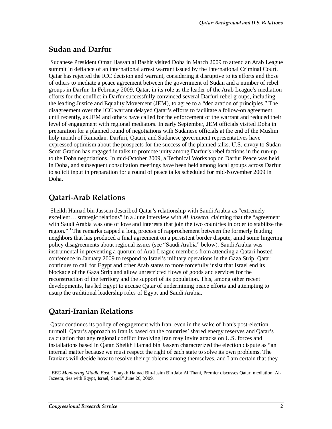## **Sudan and Darfur**

 Sudanese President Omar Hassan al Bashir visited Doha in March 2009 to attend an Arab League summit in defiance of an international arrest warrant issued by the International Criminal Court. Qatar has rejected the ICC decision and warrant, considering it disruptive to its efforts and those of others to mediate a peace agreement between the government of Sudan and a number of rebel groups in Darfur. In February 2009, Qatar, in its role as the leader of the Arab League's mediation efforts for the conflict in Darfur successfully convinced several Darfuri rebel groups, including the leading Justice and Equality Movement (JEM), to agree to a "declaration of principles." The disagreement over the ICC warrant delayed Qatar's efforts to facilitate a follow-on agreement until recently, as JEM and others have called for the enforcement of the warrant and reduced their level of engagement with regional mediators. In early September, JEM officials visited Doha in preparation for a planned round of negotiations with Sudanese officials at the end of the Muslim holy month of Ramadan. Darfuri, Qatari, and Sudanese government representatives have expressed optimism about the prospects for the success of the planned talks. U.S. envoy to Sudan Scott Gration has engaged in talks to promote unity among Darfur's rebel factions in the run-up to the Doha negotiations. In mid-October 2009, a Technical Workshop on Darfur Peace was held in Doha, and subsequent consultation meetings have been held among local groups across Darfur to solicit input in preparation for a round of peace talks scheduled for mid-November 2009 in Doha.

## **Qatari-Arab Relations**

 Sheikh Hamad bin Jassem described Qatar's relationship with Saudi Arabia as "extremely excellent... strategic relations" in a June interview with *Al Jazeera*, claiming that the "agreement" with Saudi Arabia was one of love and interests that join the two countries in order to stabilize the region."<sup>3</sup> The remarks capped a long process of rapprochement between the formerly feuding neighbors that has produced a final agreement on a persistent border dispute, amid some lingering policy disagreements about regional issues (see "Saudi Arabia" below). Saudi Arabia was instrumental in preventing a quorum of Arab League members from attending a Qatari-hosted conference in January 2009 to respond to Israel's military operations in the Gaza Strip. Qatar continues to call for Egypt and other Arab states to more forcefully insist that Israel end its blockade of the Gaza Strip and allow unrestricted flows of goods and services for the reconstruction of the territory and the support of its population. This, among other recent developments, has led Egypt to accuse Qatar of undermining peace efforts and attempting to usurp the traditional leadership roles of Egypt and Saudi Arabia.

## **Qatari-Iranian Relations**

 Qatar continues its policy of engagement with Iran, even in the wake of Iran's post-election turmoil. Qatar's approach to Iran is based on the countries' shared energy reserves and Qatar's calculation that any regional conflict involving Iran may invite attacks on U.S. forces and installations based in Qatar. Sheikh Hamad bin Jassem characterized the election dispute as "an internal matter because we must respect the right of each state to solve its own problems. The Iranians will decide how to resolve their problems among themselves, and I am certain that they

<sup>3</sup> *BBC Monitoring Middle East*, "Shaykh Hamad Bin-Jasim Bin Jabr Al Thani, Premier discusses Qatari mediation, Al-Jazeera, ties with Egypt, Israel, Saudi" June 26, 2009.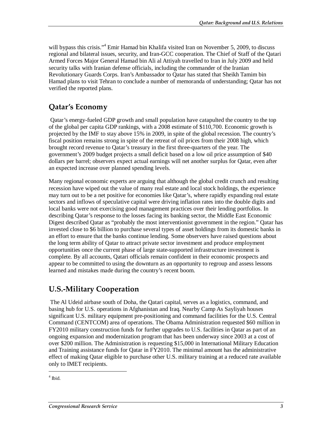will bypass this crisis."<sup>4</sup> Emir Hamad bin Khalifa visited Iran on November 5, 2009, to discuss regional and bilateral issues, security, and Iran-GCC cooperation. The Chief of Staff of the Qatari Armed Forces Major General Hamad bin Ali al Attiyah travelled to Iran in July 2009 and held security talks with Iranian defense officials, including the commander of the Iranian Revolutionary Guards Corps. Iran's Ambassador to Qatar has stated that Sheikh Tamim bin Hamad plans to visit Tehran to conclude a number of memoranda of understanding; Qatar has not verified the reported plans.

## **Qatar's Economy**

Qatar's energy-fueled GDP growth and small population have catapulted the country to the top of the global per capita GDP rankings, with a 2008 estimate of \$110,700. Economic growth is projected by the IMF to stay above 15% in 2009, in spite of the global recession. The country's fiscal position remains strong in spite of the retreat of oil prices from their 2008 high, which brought record revenue to Qatar's treasury in the first three-quarters of the year. The government's 2009 budget projects a small deficit based on a low oil price assumption of \$40 dollars per barrel; observers expect actual earnings will net another surplus for Qatar, even after an expected increase over planned spending levels.

Many regional economic experts are arguing that although the global credit crunch and resulting recession have wiped out the value of many real estate and local stock holdings, the experience may turn out to be a net positive for economies like Qatar's, where rapidly expanding real estate sectors and inflows of speculative capital were driving inflation rates into the double digits and local banks were not exercising good management practices over their lending portfolios. In describing Qatar's response to the losses facing its banking sector, the Middle East Economic Digest described Qatar as "probably the most interventionist government in the region." Qatar has invested close to \$6 billion to purchase several types of asset holdings from its domestic banks in an effort to ensure that the banks continue lending. Some observers have raised questions about the long term ability of Qatar to attract private sector investment and produce employment opportunities once the current phase of large state-supported infrastructure investment is complete. By all accounts, Qatari officials remain confident in their economic prospects and appear to be committed to using the downturn as an opportunity to regroup and assess lessons learned and mistakes made during the country's recent boom.

### **U.S.-Military Cooperation**

The Al Udeid airbase south of Doha, the Qatari capital, serves as a logistics, command, and basing hub for U.S. operations in Afghanistan and Iraq. Nearby Camp As Sayliyah houses significant U.S. military equipment pre-positioning and command facilities for the U.S. Central Command (CENTCOM) area of operations. The Obama Administration requested \$60 million in FY2010 military construction funds for further upgrades to U.S. facilities in Qatar as part of an ongoing expansion and modernization program that has been underway since 2003 at a cost of over \$200 million. The Administration is requesting \$15,000 in International Military Education and Training assistance funds for Qatar in FY2010. The minimal amount has the administrative effect of making Qatar eligible to purchase other U.S. military training at a reduced rate available only to IMET recipients.

<sup>4</sup> Ibid.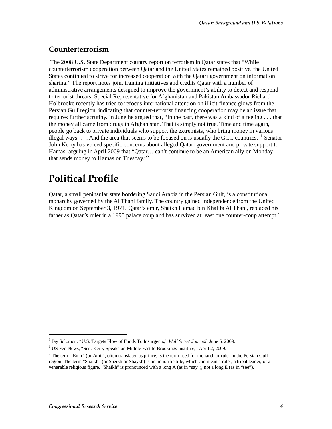### **Counterterrorism**

The 2008 U.S. State Department country report on terrorism in Qatar states that "While counterterrorism cooperation between Qatar and the United States remained positive, the United States continued to strive for increased cooperation with the Qatari government on information sharing." The report notes joint training initiatives and credits Qatar with a number of administrative arrangements designed to improve the government's ability to detect and respond to terrorist threats. Special Representative for Afghanistan and Pakistan Ambassador Richard Holbrooke recently has tried to refocus international attention on illicit finance glows from the Persian Gulf region, indicating that counter-terrorist financing cooperation may be an issue that requires further scrutiny. In June he argued that, "In the past, there was a kind of a feeling . . . that the money all came from drugs in Afghanistan. That is simply not true. Time and time again, people go back to private individuals who support the extremists, who bring money in various illegal ways. . . . And the area that seems to be focused on is usually the GCC countries."<sup>5</sup> Senator John Kerry has voiced specific concerns about alleged Qatari government and private support to Hamas, arguing in April 2009 that "Qatar… can't continue to be an American ally on Monday that sends money to Hamas on Tuesday."6

# **Political Profile**

Qatar, a small peninsular state bordering Saudi Arabia in the Persian Gulf, is a constitutional monarchy governed by the Al Thani family. The country gained independence from the United Kingdom on September 3, 1971. Qatar's emir, Shaikh Hamad bin Khalifa Al Thani, replaced his father as Oatar's ruler in a 1995 palace coup and has survived at least one counter-coup attempt.<sup>7</sup>

<u>.</u>

<sup>5</sup> Jay Solomon, "U.S. Targets Flow of Funds To Insurgents," *Wall Street Journal*, June 6, 2009.

<sup>6</sup> US Fed News, "Sen. Kerry Speaks on Middle East to Brookings Institute," April 2, 2009.

 $<sup>7</sup>$  The term "Emir" (or Amir), often translated as prince, is the term used for monarch or ruler in the Persian Gulf</sup> region. The term "Shaikh" (or Sheikh or Shaykh) is an honorific title, which can mean a ruler, a tribal leader, or a venerable religious figure. "Shaikh" is pronounced with a long A (as in "say"), not a long E (as in "see").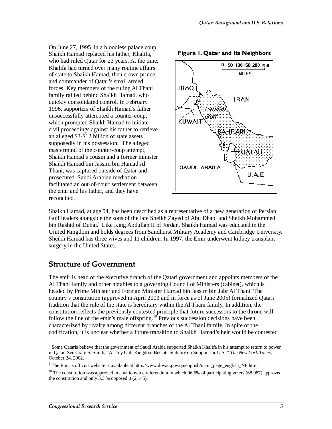On June 27, 1995, in a bloodless palace coup, Shaikh Hamad replaced his father, Khalifa, who had ruled Qatar for 23 years. At the time, Khalifa had turned over many routine affairs of state to Shaikh Hamad, then crown prince and commander of Qatar's small armed forces. Key members of the ruling Al Thani family rallied behind Shaikh Hamad, who quickly consolidated control. In February 1996, supporters of Shaikh Hamad's father unsuccessfully attempted a counter-coup, which prompted Shaikh Hamad to initiate civil proceedings against his father to retrieve an alleged \$3-\$12 billion of state assets supposedly in his possession.<sup>8</sup> The alleged mastermind of the counter-coup attempt, Shaikh Hamad's cousin and a former minister Shaikh Hamad bin Jassim bin Hamad Al Thani, was captured outside of Qatar and prosecuted. Saudi Arabian mediation facilitated an out-of-court settlement between the emir and his father, and they have reconciled.



**Figure 1. Qatar and Its Neighbors** 

Shaikh Hamad, at age 54, has been described as a representative of a new generation of Persian Gulf leaders alongside the sons of the late Sheikh Zayed of Abu Dhabi and Sheikh Mohammed bin Rashid of Dubai.<sup>9</sup> Like King Abdullah II of Jordan, Shaikh Hamad was educated in the United Kingdom and holds degrees from Sandhurst Military Academy and Cambridge University. Sheikh Hamad has three wives and 11 children. In 1997, the Emir underwent kidney transplant surgery in the United States.

### **Structure of Government**

The emir is head of the executive branch of the Qatari government and appoints members of the Al Thani family and other notables to a governing Council of Ministers (cabinet), which is headed by Prime Minister and Foreign Minister Hamad bin Jassim bin Jabr Al Thani. The country's constitution (approved in April 2003 and in force as of June 2005) formalized Qatari tradition that the rule of the state is hereditary within the Al Thani family. In addition, the constitution reflects the previously contested principle that future successors to the throne will follow the line of the emir's male offspring.<sup>10</sup> Previous succession decisions have been characterized by rivalry among different branches of the Al Thani family. In spite of the codification, it is unclear whether a future transition to Shaikh Hamad's heir would be contested

<sup>&</sup>lt;sup>8</sup> Some Qataris believe that the government of Saudi Arabia supported Shaikh Khalifa in his attempt to return to power in Qatar. See Craig S. Smith, "A Tiny Gulf Kingdom Bets its Stability on Support for U.S.," *The New York Times*, October 24, 2002.

<sup>&</sup>lt;sup>9</sup> The Emir's official website is available at http://www.diwan.gov.qa/english/main\_page\_english\_NF.htm.

 $10$  The constitution was approved in a nationwide referendum in which 96.6% of participating voters (68,987) approved the constitution and only  $3.3$ % opposed it (2,145).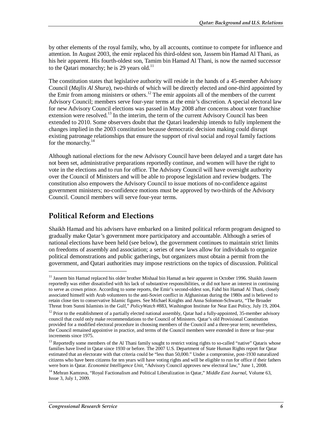by other elements of the royal family, who, by all accounts, continue to compete for influence and attention. In August 2003, the emir replaced his third-oldest son, Jassem bin Hamad Al Thani, as his heir apparent. His fourth-oldest son, Tamim bin Hamad Al Thani, is now the named successor to the Qatari monarchy; he is 29 years old.<sup>11</sup>

The constitution states that legislative authority will reside in the hands of a 45-member Advisory Council (*Majlis Al Shura*), two-thirds of which will be directly elected and one-third appointed by the Emir from among ministers or others.12 The emir appoints all of the members of the current Advisory Council; members serve four-year terms at the emir's discretion. A special electoral law for new Advisory Council elections was passed in May 2008 after concerns about voter franchise extension were resolved.<sup>13</sup> In the interim, the term of the current Advisory Council has been extended to 2010. Some observers doubt that the Qatari leadership intends to fully implement the changes implied in the 2003 constitution because democratic decision making could disrupt existing patronage relationships that ensure the support of rival social and royal family factions for the monarchy.<sup>14</sup>

Although national elections for the new Advisory Council have been delayed and a target date has not been set, administrative preparations reportedly continue, and women will have the right to vote in the elections and to run for office. The Advisory Council will have oversight authority over the Council of Ministers and will be able to propose legislation and review budgets. The constitution also empowers the Advisory Council to issue motions of no-confidence against government ministers; no-confidence motions must be approved by two-thirds of the Advisory Council. Council members will serve four-year terms.

### **Political Reform and Elections**

Shaikh Hamad and his advisers have embarked on a limited political reform program designed to gradually make Qatar's government more participatory and accountable. Although a series of national elections have been held (see below), the government continues to maintain strict limits on freedoms of assembly and association; a series of new laws allow for individuals to organize political demonstrations and public gatherings, but organizers must obtain a permit from the government, and Qatari authorities may impose restrictions on the topics of discussion. Political

<u>.</u>

<sup>&</sup>lt;sup>11</sup> Jassem bin Hamad replaced his older brother Mishaal bin Hamad as heir apparent in October 1996. Shaikh Jassem reportedly was either dissatisfied with his lack of substantive responsibilities, or did not have an interest in continuing to serve as crown prince. According to some reports, the Emir's second-oldest son, Fahd bin Hamad Al Thani, closely associated himself with Arab volunteers to the anti-Soviet conflict in Afghanistan during the 1980s and is believed to retain close ties to conservative Islamic figures. See Michael Knights and Anna Solomon-Schwartz, "The Broader Threat from Sunni Islamists in the Gulf," *PolicyWatch* #883, Washington Institute for Near East Policy, July 19, 2004.

 $12$  Prior to the establishment of a partially elected national assembly, Qatar had a fully-appointed, 35-member advisory council that could only make recommendations to the Council of Ministers. Qatar's old Provisional Constitution provided for a modified electoral procedure in choosing members of the Council and a three-year term; nevertheless, the Council remained appointive in practice, and terms of the Council members were extended in three or four-year increments since 1975.

<sup>&</sup>lt;sup>13</sup> Reportedly some members of the Al Thani family sought to restrict voting rights to so-called "native" Qataris whose families have lived in Qatar since 1930 or before. The 2007 U.S. Department of State Human Rights report for Qatar estimated that an electorate with that criteria could be "less than 50,000." Under a compromise, post-1930 naturalized citizens who have been citizens for ten years will have voting rights and will be eligible to run for office if their fathers were born in Qatar. *Economist Intelligence Unit*, "Advisory Council approves new electoral law," June 1, 2008.

<sup>&</sup>lt;sup>14</sup> Mehran Kamrava, "Royal Factionalism and Political Liberalization in Qatar," *Middle East Journal*, Volume 63, Issue 3, July 1, 2009.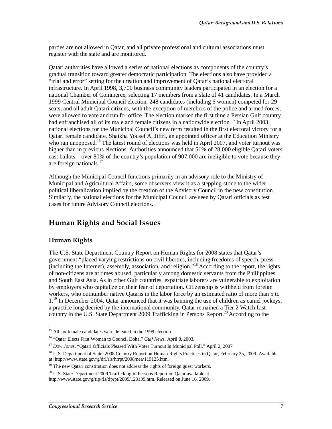parties are not allowed in Qatar, and all private professional and cultural associations must register with the state and are monitored.

Qatari authorities have allowed a series of national elections as components of the country's gradual transition toward greater democratic participation. The elections also have provided a "trial and error" setting for the creation and improvement of Qatar's national electoral infrastructure. In April 1998, 3,700 business community leaders participated in an election for a national Chamber of Commerce, selecting 17 members from a slate of 41 candidates. In a March 1999 Central Municipal Council election, 248 candidates (including 6 women) competed for 29 seats, and all adult Qatari citizens, with the exception of members of the police and armed forces, were allowed to vote and run for office. The election marked the first time a Persian Gulf country had enfranchised all of its male and female citizens in a nationwide election.<sup>15</sup> In April 2003, national elections for the Municipal Council's new term resulted in the first electoral victory for a Qatari female candidate, Shaikha Yousef Al Jiffri, an appointed officer at the Education Ministry who ran unopposed.<sup>16</sup> The latest round of elections was held in April 2007, and voter turnout was higher than in previous elections. Authorities announced that 51% of 28,000 eligible Qatari voters cast ballots—over 80% of the country's population of 907,000 are ineligible to vote because they are foreign nationals. $17$ 

Although the Municipal Council functions primarily in an advisory role to the Ministry of Municipal and Agricultural Affairs, some observers view it as a stepping-stone to the wider political liberalization implied by the creation of the Advisory Council in the new constitution. Similarly, the national elections for the Municipal Council are seen by Qatari officials as test cases for future Advisory Council elections.

### **Human Rights and Social Issues**

### **Human Rights**

<u>.</u>

The U.S. State Department Country Report on Human Rights for 2008 states that Qatar's government "placed varying restrictions on civil liberties, including freedoms of speech, press  $\frac{1}{2}$  (including the Internet), assembly, association, and religion."<sup>18</sup> According to the report, the rights of non-citizens are at times abused, particularly among domestic servants from the Phillippines and South East Asia. As in other Gulf countries, expatriate laborers are vulnerable to exploitation by employers who capitalize on their fear of deportation. Citizenship is withheld from foreign workers, who outnumber native Qataris in the labor force by an estimated ratio of more than 5 to  $1.^{19}$  In December 2004, Qatar announced that it was banning the use of children as camel jockeys, a practice long decried by the international community. Qatar remained a Tier 2 Watch List country in the U.S. State Department 2009 Trafficking in Persons Report.<sup>20</sup> According to the

<sup>&</sup>lt;sup>15</sup> All six female candidates were defeated in the 1999 election.

<sup>16 &</sup>quot;Qatar Elects First Woman to Council Doha," *Gulf News*, April 8, 2003.

<sup>17</sup> *Dow Jones*, "Qatari Officials Pleased With Voter Turnout In Municipal Poll," April 2, 2007.

<sup>&</sup>lt;sup>18</sup> U.S. Department of State, 2008 Country Report on Human Rights Practices in Qatar, February 25, 2009. Available at: http://www.state.gov/g/drl/rls/hrrpt/2008/nea/119125.htm.

 $19$  The new Qatari constitution does not address the rights of foreign guest workers.

 $^{20}$  U.S. State Department 2009 Trafficking in Persons Report on Qatar available at

http://www.state.gov/g/tip/rls/tiprpt/2009/123139.htm. Released on June 16, 2009.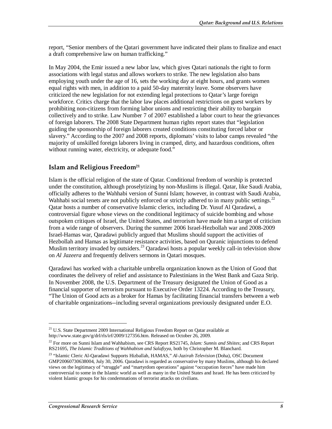report, "Senior members of the Qatari government have indicated their plans to finalize and enact a draft comprehensive law on human trafficking."

In May 2004, the Emir issued a new labor law, which gives Qatari nationals the right to form associations with legal status and allows workers to strike. The new legislation also bans employing youth under the age of 16, sets the working day at eight hours, and grants women equal rights with men, in addition to a paid 50-day maternity leave. Some observers have criticized the new legislation for not extending legal protections to Qatar's large foreign workforce. Critics charge that the labor law places additional restrictions on guest workers by prohibiting non-citizens from forming labor unions and restricting their ability to bargain collectively and to strike. Law Number 7 of 2007 established a labor court to hear the grievances of foreign laborers. The 2008 State Department human rights report states that "legislation guiding the sponsorship of foreign laborers created conditions constituting forced labor or slavery." According to the 2007 and 2008 reports, diplomats' visits to labor camps revealed "the majority of unskilled foreign laborers living in cramped, dirty, and hazardous conditions, often without running water, electricity, or adequate food."

### **Islam and Religious Freedom<sup>21</sup>**

Islam is the official religion of the state of Qatar. Conditional freedom of worship is protected under the constitution, although proselytizing by non-Muslims is illegal. Qatar, like Saudi Arabia, officially adheres to the Wahhabi version of Sunni Islam; however, in contrast with Saudi Arabia, Wahhabi social tenets are not publicly enforced or strictly adhered to in many public settings.<sup>22</sup> Qatar hosts a number of conservative Islamic clerics, including Dr. Yusuf Al Qaradawi, a controversial figure whose views on the conditional legitimacy of suicide bombing and whose outspoken critiques of Israel, the United States, and terrorism have made him a target of criticism from a wide range of observers. During the summer 2006 Israel-Hezbollah war and 2008-2009 Israel-Hamas war, Qaradawi publicly argued that Muslims should support the activities of Hezbollah and Hamas as legitimate resistance activities, based on Quranic injunctions to defend Muslim territory invaded by outsiders.<sup>23</sup> Qaradawi hosts a popular weekly call-in television show on *Al Jazeera* and frequently delivers sermons in Qatari mosques.

Qaradawi has worked with a charitable umbrella organization known as the Union of Good that coordinates the delivery of relief and assistance to Palestinians in the West Bank and Gaza Strip. In November 2008, the U.S. Department of the Treasury designated the Union of Good as a financial supporter of terrorism pursuant to Executive Order 13224. According to the Treasury, "The Union of Good acts as a broker for Hamas by facilitating financial transfers between a web of charitable organizations--including several organizations previously designated under E.O.

<u>.</u>

<sup>&</sup>lt;sup>21</sup> U.S. State Department 2009 International Religious Freedom Report on Qatar available at http://www.state.gov/g/drl/rls/irf/2009/127356.htm. Released on October 26, 2009.

<sup>22</sup> For more on Sunni Islam and Wahhabism, see CRS Report RS21745, *Islam: Sunnis and Shiites*; and CRS Report RS21695, *The Islamic Traditions of Wahhabism and Salafiyya*, both by Christopher M. Blanchard.

<sup>23 &</sup>quot;Islamic Cleric Al-Qaradawi Supports Hizballah, HAMAS," *Al-Jazirah Television* (Doha), OSC Document GMP20060730638004, July 30, 2006. Qaradawi is regarded as conservative by many Muslims, although his declared views on the legitimacy of "struggle" and "martyrdom operations" against "occupation forces" have made him controversial to some in the Islamic world as well as many in the United States and Israel. He has been criticized by violent Islamic groups for his condemnations of terrorist attacks on civilians.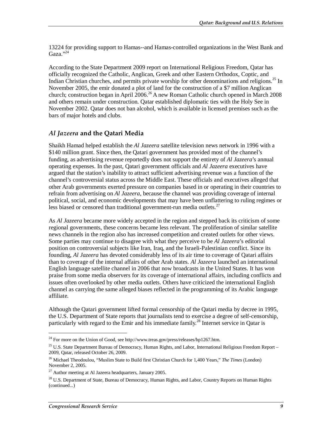13224 for providing support to Hamas--and Hamas-controlled organizations in the West Bank and Gaza." $^{3,24}$ 

According to the State Department 2009 report on International Religious Freedom, Qatar has officially recognized the Catholic, Anglican, Greek and other Eastern Orthodox, Coptic, and Indian Christian churches, and permits private worship for other denominations and religions.<sup>25</sup> In November 2005, the emir donated a plot of land for the construction of a \$7 million Anglican church; construction began in April  $2006$ <sup>26</sup> A new Roman Catholic church opened in March 2008 and others remain under construction. Qatar established diplomatic ties with the Holy See in November 2002. Qatar does not ban alcohol, which is available in licensed premises such as the bars of major hotels and clubs.

### *Al Jazeera* **and the Qatari Media**

Shaikh Hamad helped establish the *Al Jazeera* satellite television news network in 1996 with a \$140 million grant. Since then, the Qatari government has provided most of the channel's funding, as advertising revenue reportedly does not support the entirety of *Al Jazeera*'s annual operating expenses. In the past, Qatari government officials and *Al Jazeera* executives have argued that the station's inability to attract sufficient advertising revenue was a function of the channel's controversial status across the Middle East. These officials and executives alleged that other Arab governments exerted pressure on companies based in or operating in their countries to refrain from advertising on *Al Jazeera*, because the channel was providing coverage of internal political, social, and economic developments that may have been unflattering to ruling regimes or less biased or censored than traditional government-run media outlets.<sup>27</sup>

As *Al Jazeera* became more widely accepted in the region and stepped back its criticism of some regional governments, these concerns became less relevant. The proliferation of similar satellite news channels in the region also has increased competition and created outlets for other views. Some parties may continue to disagree with what they perceive to be *Al Jazeera*'s editorial position on controversial subjects like Iran, Iraq, and the Israeli-Palestinian conflict. Since its founding, *Al Jazeera* has devoted considerably less of its air time to coverage of Qatari affairs than to coverage of the internal affairs of other Arab states. *Al Jazeera* launched an international English language satellite channel in 2006 that now broadcasts in the United States. It has won praise from some media observers for its coverage of international affairs, including conflicts and issues often overlooked by other media outlets. Others have criticized the international English channel as carrying the same alleged biases reflected in the programming of its Arabic language affiliate.

Although the Qatari government lifted formal censorship of the Qatari media by decree in 1995, the U.S. Department of State reports that journalists tend to exercise a degree of self-censorship, particularly with regard to the Emir and his immediate family.<sup>28</sup> Internet service in Qatar is

 $^{24}$  For more on the Union of Good, see http://www.treas.gov/press/releases/hp1267.htm.

<sup>&</sup>lt;sup>25</sup> U.S. State Department Bureau of Democracy, Human Rights, and Labor, International Religious Freedom Report – 2009, Qatar, released October 26, 2009.

<sup>26</sup> Michael Theodoulou, "Muslim State to Build first Christian Church for 1,400 Years," *The Times* (London) November 2, 2005.

 $27$  Author meeting at Al Jazeera headquarters, January 2005.

<sup>&</sup>lt;sup>28</sup> U.S. Department of State, Bureau of Democracy, Human Rights, and Labor, Country Reports on Human Rights (continued...)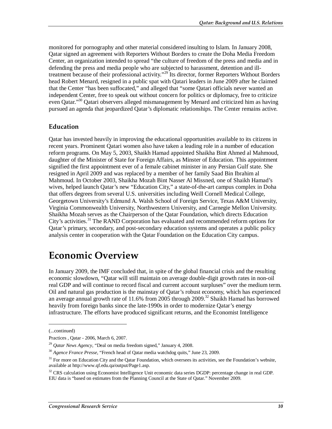monitored for pornography and other material considered insulting to Islam. In January 2008, Qatar signed an agreement with Reporters Without Borders to create the Doha Media Freedom Center, an organization intended to spread "the culture of freedom of the press and media and in defending the press and media people who are subjected to harassment, detention and illtreatment because of their professional activity."29 Its director, former Reporters Without Borders head Robert Menard, resigned in a public spat with Qatari leaders in June 2009 after he claimed that the Center "has been suffocated," and alleged that "some Qatari officials never wanted an independent Center, free to speak out without concern for politics or diplomacy, free to criticize even Qatar."<sup>30</sup> Qatari observers alleged mismanagement by Menard and criticized him as having pursued an agenda that jeopardized Qatar's diplomatic relationships. The Center remains active.

#### **Education**

Qatar has invested heavily in improving the educational opportunities available to its citizens in recent years. Prominent Qatari women also have taken a leading role in a number of education reform programs. On May 5, 2003, Shaikh Hamad appointed Shaikha Bint Ahmed al Mahmoud, daughter of the Minister of State for Foreign Affairs, as Minster of Education. This appointment signified the first appointment ever of a female cabinet minister in any Persian Gulf state. She resigned in April 2009 and was replaced by a member of her family Saad Bin Ibrahim al Mahmoud. In October 2003, Shaikha Mozah Bint Nasser Al Missned, one of Shaikh Hamad's wives, helped launch Qatar's new "Education City," a state-of-the-art campus complex in Doha that offers degrees from several U.S. universities including Weill Cornell Medical College, Georgetown University's Edmund A. Walsh School of Foreign Service, Texas A&M University, Virginia Commonwealth University, Northwestern University, and Carnegie Mellon University. Shaikha Mozah serves as the Chairperson of the Qatar Foundation, which directs Education City's activities.<sup>31</sup> The RAND Corporation has evaluated and recommended reform options for Qatar's primary, secondary, and post-secondary education systems and operates a public policy analysis center in cooperation with the Qatar Foundation on the Education City campus.

## **Economic Overview**

In January 2009, the IMF concluded that, in spite of the global financial crisis and the resulting economic slowdown, "Qatar will still maintain on average double-digit growth rates in non-oil real GDP and will continue to record fiscal and current account surpluses" over the medium term. Oil and natural gas production is the mainstay of Qatar's robust economy, which has experienced an average annual growth rate of 11.6% from 2005 through 2009.<sup>32</sup> Shaikh Hamad has borrowed heavily from foreign banks since the late-1990s in order to modernize Qatar's energy infrastructure. The efforts have produced significant returns, and the Economist Intelligence

<u>.</u>

<sup>(...</sup>continued)

Practices , Qatar - 2006, March 6, 2007.

<sup>&</sup>lt;sup>29</sup> *Qatar News Agency*, "Deal on media freedom signed," January 4, 2008.<br><sup>30</sup> *Agence France Presse*, "French head of Qatar media watchdog quits," June 23, 2009.

 $31$  For more on Education City and the Qatar Foundation, which oversees its activities, see the Foundation's website, available at http://www.qf.edu.qa/output/Page1.asp.

<sup>&</sup>lt;sup>32</sup> CRS calculation using Economist Intelligence Unit economic data series DGDP: percentage change in real GDP. EIU data is "based on estimates from the Planning Council at the State of Qatar." November 2009.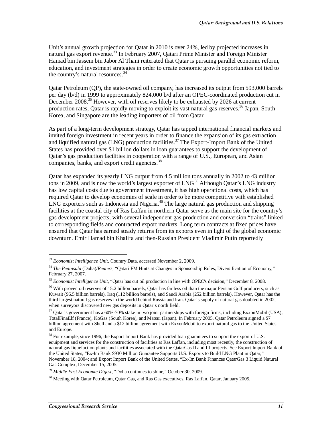Unit's annual growth projection for Oatar in 2010 is over 24%, led by projected increases in natural gas export revenue.<sup>33</sup> In February 2007, Qatari Prime Minister and Foreign Minister Hamad bin Jassem bin Jabor Al Thani reiterated that Qatar is pursuing parallel economic reform, education, and investment strategies in order to create economic growth opportunities not tied to the country's natural resources.<sup>3</sup>

Qatar Petroleum (QP), the state-owned oil company, has increased its output from 593,000 barrels per day (b/d) in 1999 to approximately 824,000 b/d after an OPEC-coordinated production cut in December 2008.<sup>35</sup> However, with oil reserves likely to be exhausted by 2026 at current production rates. Oatar is rapidly moving to exploit its vast natural gas reserves.<sup>36</sup> Japan, South Korea, and Singapore are the leading importers of oil from Qatar.

As part of a long-term development strategy, Qatar has tapped international financial markets and invited foreign investment in recent years in order to finance the expansion of its gas extraction and liquified natural gas (LNG) production facilities.<sup>37</sup> The Export-Import Bank of the United States has provided over \$1 billion dollars in loan guarantees to support the development of Qatar's gas production facilities in cooperation with a range of U.S., European, and Asian companies, banks, and export credit agencies.<sup>38</sup>

Qatar has expanded its yearly LNG output from 4.5 million tons annually in 2002 to 43 million tons in 2009, and is now the world's largest exporter of LNG.<sup>39</sup> Although Qatar's LNG industry has low capital costs due to government investment, it has high operational costs, which has required Qatar to develop economies of scale in order to be more competitive with established  $LNG$  exporters such as Indonesia and Nigeria.<sup>40</sup> The large natural gas production and shipping facilities at the coastal city of Ras Laffan in northern Qatar serve as the main site for the country's gas development projects, with several independent gas production and conversion "trains" linked to corresponding fields and contracted export markets. Long term contracts at fixed prices have ensured that Qatar has earned steady returns from its exports even in light of the global economic downturn. Emir Hamad bin Khalifa and then-Russian President Vladimir Putin reportedly

<sup>33</sup> *Economist Intelligence Unit*, Country Data, accessed November 2, 2009.

<sup>34</sup> *The Peninsula* (Doha)/*Reuters*, "Qatari FM Hints at Changes in Sponsorship Rules, Diversification of Economy," February 27, 2007.

<sup>35</sup> *Economist Intelligence Unit*, "Qatar has cut oil production in line with OPEC's decision," December 8, 2008.

<sup>&</sup>lt;sup>36</sup> With proven oil reserves of 15.2 billion barrels, Qatar has far less oil than the major Persian Gulf producers, such as Kuwait (96.5 billion barrels), Iraq (112 billion barrels), and Saudi Arabia (252 billion barrels). However, Qatar has the third largest natural gas reserves in the world behind Russia and Iran. Qatar's supply of natural gas doubled in 2002, when surveyors discovered new gas deposits in Qatar's north field.

 $37$  Qatar's government has a 60%-70% stake in two joint partnerships with foreign firms, including ExxonMobil (USA), TotalFinaElf (France), KoGas (South Korea), and Matsui (Japan). In February 2005, Qatar Petroleum signed a \$7 billion agreement with Shell and a \$12 billion agreement with ExxonMobil to export natural gas to the United States and Europe.

<sup>&</sup>lt;sup>38</sup> For example, since 1996, the Export Import Bank has provided loan guarantees to support the export of U.S. equipment and services for the construction of facilities at Ras Laffan, including most recently, the construction of natural gas liquefaction plants and facilities associated with the QatarGas II and III projects. See Export Import Bank of the United States, "Ex-Im Bank \$930 Million Guarantee Supports U.S. Exports to Build LNG Plant in Qatar," November 18, 2004; and Export Import Bank of the United States, "Ex-Im Bank Finances QatarGas 3 Liquid Natural Gas Complex, December 15, 2005.

<sup>39</sup> *Middle East Economic Digest*, "Doha continues to shine," October 30, 2009.

<sup>&</sup>lt;sup>40</sup> Meeting with Qatar Petroleum, Qatar Gas, and Ras Gas executives, Ras Laffan, Qatar, January 2005.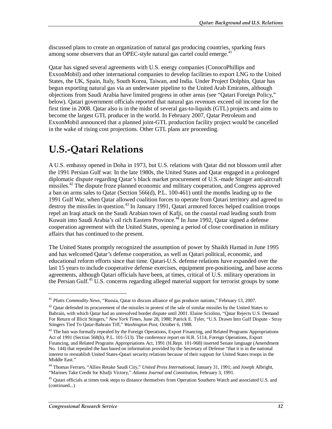discussed plans to create an organization of natural gas producing countries, sparking fears among some observers that an OPEC-style natural gas cartel could emerge.<sup>41</sup>

Qatar has signed several agreements with U.S. energy companies (ConocoPhillips and ExxonMobil) and other international companies to develop facilities to export LNG to the United States, the UK, Spain, Italy, South Korea, Taiwan, and India. Under Project Dolphin, Qatar has begun exporting natural gas via an underwater pipeline to the United Arab Emirates, although objections from Saudi Arabia have limited progress in other areas (see "Qatari Foreign Policy," below). Qatari government officials reported that natural gas revenues exceed oil income for the first time in 2008. Qatar also is in the midst of several gas-to-liquids (GTL) projects and aims to become the largest GTL producer in the world. In February 2007, Qatar Petroleum and ExxonMobil announced that a planned joint-GTL production facility project would be cancelled in the wake of rising cost projections. Other GTL plans are proceeding.

# **U.S.-Qatari Relations**

A U.S. embassy opened in Doha in 1973, but U.S. relations with Qatar did not blossom until after the 1991 Persian Gulf war. In the late 1980s, the United States and Qatar engaged in a prolonged diplomatic dispute regarding Qatar's black market procurement of U.S.-made Stinger anti-aircraft missiles.<sup>42</sup> The dispute froze planned economic and military cooperation, and Congress approved a ban on arms sales to Qatar (Section 566(d), P.L. 100-461) until the months leading up to the 1991 Gulf War, when Qatar allowed coalition forces to operate from Qatari territory and agreed to destroy the missiles in question.<sup>43</sup> In January 1991, Qatari armored forces helped coalition troops repel an Iraqi attack on the Saudi Arabian town of Kafji, on the coastal road leading south from Kuwait into Saudi Arabia's oil rich Eastern Province.<sup>44</sup> In June 1992, Qatar signed a defense cooperation agreement with the United States, opening a period of close coordination in military affairs that has continued to the present.

The United States promptly recognized the assumption of power by Shaikh Hamad in June 1995 and has welcomed Qatar's defense cooperation, as well as Qatari political, economic, and educational reform efforts since that time. Qatari-U.S. defense relations have expanded over the last 15 years to include cooperative defense exercises, equipment pre-positioning, and base access agreements, although Qatari officials have been, at times, critical of U.S. military operations in the Persian Gulf.<sup>45</sup> U.S. concerns regarding alleged material support for terrorist groups by some

**.** 

<sup>41</sup> *Platts Commodity News*, "Russia, Qatar to discuss alliance of gas producer nations," February 13, 2007.

<sup>&</sup>lt;sup>42</sup> Qatar defended its procurement of the missiles in protest of the sale of similar missiles by the United States to Bahrain, with which Qatar had an unresolved border dispute until 2001. Elaine Sciolino, "Qatar Rejects U.S. Demand For Return of Illicit Stingers," *New York Times*, June 28, 1988; Patrick E. Tyler, "U.S. Drawn Into Gulf Dispute - Stray Stingers Tied To Qatar-Bahrain Tiff," *Washington Post*, October 6, 1988.

<sup>&</sup>lt;sup>43</sup> The ban was formally repealed by the Foreign Operations, Export Financing, and Related Programs Appropriations Act of 1991 (Section 568(b), P.L. 101-513). The conference report on H.R. 5114, Foreign Operations, Export Financing, and Related Programs Appropriations Act, 1991 (H.Rept. 101-968) inserted Senate language (Amendment No. 144) that repealed the ban based on information provided by the Secretary of Defense "that it is in the national interest to reestablish United States-Qatari security relations because of their support for United States troops in the Middle East."

<sup>44</sup> Thomas Ferraro, "Allies Retake Saudi City," *United Press International*, January 31, 1991; and Joseph Albright, "Marines Take Credit for Khafji Victory," *Atlanta Journal and Constitution*, February 3, 1991.

<sup>&</sup>lt;sup>45</sup> Qatari officials at times took steps to distance themselves from Operation Southern Watch and associated U.S. and (continued...)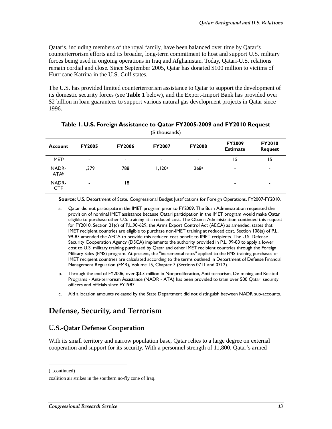Qataris, including members of the royal family, have been balanced over time by Qatar's counterterrorism efforts and its broader, long-term commitment to host and support U.S. military forces being used in ongoing operations in Iraq and Afghanistan. Today, Qatari-U.S. relations remain cordial and close. Since September 2005, Qatar has donated \$100 million to victims of Hurricane Katrina in the U.S. Gulf states.

The U.S. has provided limited counterterrorism assistance to Qatar to support the development of its domestic security forces (see **Table 1** below), and the Export-Import Bank has provided over \$2 billion in loan guarantees to support various natural gas development projects in Qatar since 1996.

| (1, 1)                   |               |               |               |                          |                                  |                                 |
|--------------------------|---------------|---------------|---------------|--------------------------|----------------------------------|---------------------------------|
| <b>Account</b>           | <b>FY2005</b> | <b>FY2006</b> | <b>FY2007</b> | <b>FY2008</b>            | <b>FY2009</b><br><b>Estimate</b> | <b>FY2010</b><br><b>Request</b> |
| <b>IMET</b> <sup>a</sup> | ۰             | ۰             | ۰             | $\overline{\phantom{a}}$ | 15                               | 15                              |
| NADR-<br><b>ATA</b> b    | 1.379         | 788           | 1,120c        | 268c                     | ۰                                | ٠                               |
| NADR-<br><b>CTF</b>      | ۰             | I 18          |               |                          | ۰                                | ٠                               |

#### **Table 1. U.S. Foreign Assistance to Qatar FY2005-2009 and FY2010 Request**  (\$ thousands)

**Source:** U.S. Department of State, Congressional Budget Justifications for Foreign Operations, FY2007-FY2010.

- a. Qatar did not participate in the IMET program prior to FY2009. The Bush Administration requested the provision of nominal IMET assistance because Qatari participation in the IMET program would make Qatar eligible to purchase other U.S. training at a reduced cost. The Obama Administration continued this request for FY2010. Section 21(c) of P.L.90-629, the Arms Export Control Act (AECA) as amended, states that IMET recipient countries are eligible to purchase non-IMET training at reduced cost. Section 108(a) of P.L. 99-83 amended the AECA to provide this reduced cost benefit to IMET recipients. The U.S. Defense Security Cooperation Agency (DSCA) implements the authority provided in P.L. 99-83 to apply a lower cost to U.S. military training purchased by Qatar and other IMET recipient countries through the Foreign Military Sales (FMS) program. At present, the "incremental rates" applied to the FMS training purchases of IMET recipient countries are calculated according to the terms outlined in Department of Defense Financial Management Regulation (FMR), Volume 15, Chapter 7 (Sections 0711 and 0712).
- b. Through the end of FY2006, over \$3.3 million in Nonproliferation, Anti-terrorism, De-mining and Related Programs - Anti-terrorism Assistance (NADR - ATA) has been provided to train over 500 Qatari security officers and officials since FY1987.
- c. Aid allocation amounts released by the State Department did not distinguish between NADR sub-accounts.

### **Defense, Security, and Terrorism**

### **U.S.-Qatar Defense Cooperation**

With its small territory and narrow population base, Qatar relies to a large degree on external cooperation and support for its security. With a personnel strength of 11,800, Qatar's armed

(...continued)

coalition air strikes in the southern no-fly zone of Iraq.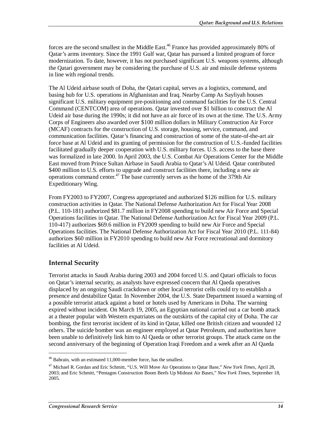forces are the second smallest in the Middle East.<sup>46</sup> France has provided approximately 80% of Qatar's arms inventory. Since the 1991 Gulf war, Qatar has pursued a limited program of force modernization. To date, however, it has not purchased significant U.S. weapons systems, although the Qatari government may be considering the purchase of U.S. air and missile defense systems in line with regional trends.

The Al Udeid airbase south of Doha, the Qatari capital, serves as a logistics, command, and basing hub for U.S. operations in Afghanistan and Iraq. Nearby Camp As Sayliyah houses significant U.S. military equipment pre-positioning and command facilities for the U.S. Central Command (CENTCOM) area of operations. Qatar invested over \$1 billion to construct the Al Udeid air base during the 1990s; it did not have an air force of its own at the time. The U.S. Army Corps of Engineers also awarded over \$100 million dollars in Military Construction Air Force (MCAF) contracts for the construction of U.S. storage, housing, service, command, and communication facilities. Qatar's financing and construction of some of the state-of-the-art air force base at Al Udeid and its granting of permission for the construction of U.S.-funded facilities facilitated gradually deeper cooperation with U.S. military forces. U.S. access to the base there was formalized in late 2000. In April 2003, the U.S. Combat Air Operations Center for the Middle East moved from Prince Sultan Airbase in Saudi Arabia to Qatar's Al Udeid. Qatar contributed \$400 million to U.S. efforts to upgrade and construct facilities there, including a new air operations command center.<sup>47</sup> The base currently serves as the home of the 379th Air Expeditionary Wing.

From FY2003 to FY2007, Congress appropriated and authorized \$126 million for U.S. military construction activities in Qatar. The National Defense Authorization Act for Fiscal Year 2008 (P.L. 110-181) authorized \$81.7 million in FY2008 spending to build new Air Force and Special Operations facilities in Qatar. The National Defense Authorization Act for Fiscal Year 2009 (P.L. 110-417) authorizes \$69.6 million in FY2009 spending to build new Air Force and Special Operations facilities. The National Defense Authorization Act for Fiscal Year 2010 (P.L. 111-84) authorizes \$60 million in FY2010 spending to build new Air Force recreational and dormitory facilities at Al Udeid.

### **Internal Security**

**.** 

Terrorist attacks in Saudi Arabia during 2003 and 2004 forced U.S. and Qatari officials to focus on Qatar's internal security, as analysts have expressed concern that Al Qaeda operatives displaced by an ongoing Saudi crackdown or other local terrorist cells could try to establish a presence and destabilize Qatar. In November 2004, the U.S. State Department issued a warning of a possible terrorist attack against a hotel or hotels used by Americans in Doha. The warning expired without incident. On March 19, 2005, an Egyptian national carried out a car bomb attack at a theater popular with Western expatriates on the outskirts of the capital city of Doha. The car bombing, the first terrorist incident of its kind in Qatar, killed one British citizen and wounded 12 others. The suicide bomber was an engineer employed at Qatar Petroleum, and authorities have been unable to definitively link him to Al Qaeda or other terrorist groups. The attack came on the second anniversary of the beginning of Operation Iraqi Freedom and a week after an Al Qaeda

<sup>46</sup> Bahrain, with an estimated 11,000-member force, has the smallest.

<sup>47</sup> Michael R. Gordan and Eric Schmitt, "U.S. Will Move Air Operations to Qatar Base," *New York Times*, April 28, 2003; and Eric Schmitt, "Pentagon Construction Boom Beefs Up Mideast Air Bases," *New York Times*, September 18, 2005.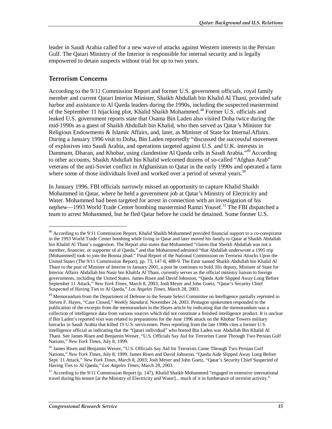leader in Saudi Arabia called for a new wave of attacks against Western interests in the Persian Gulf. The Qatari Ministry of the Interior is responsible for internal security and is legally empowered to detain suspects without trial for up to two years.

### **Terrorism Concerns**

1

According to the 9/11 Commission Report and former U.S. government officials, royal family member and current Qatari Interior Minister, Shaikh Abdullah bin Khalid Al Thani, provided safe harbor and assistance to Al Qaeda leaders during the 1990s, including the suspected mastermind of the September 11 hijacking plot, Khalid Shaikh Mohammed.<sup>48</sup> Former U.S. officials and leaked U.S. government reports state that Osama Bin Laden also visited Doha twice during the mid-1990s as a guest of Shaikh Abdullah bin Khalid, who then served as Qatar's Minister for Religious Endowments & Islamic Affairs, and, later, as Minister of State for Internal Affairs. During a January 1996 visit to Doha, Bin Laden reportedly "discussed the successful movement of explosives into Saudi Arabia, and operations targeted against U.S. and U.K. interests in Dammam, Dharan, and Khobar, using clandestine Al Qaeda cells in Saudi Arabia."49 According to other accounts, Shaikh Abdullah bin Khalid welcomed dozens of so-called "Afghan Arab" veterans of the anti-Soviet conflict in Afghanistan to Qatar in the early 1990s and operated a farm where some of those individuals lived and worked over a period of several years.<sup>50</sup>

In January 1996, FBI officials narrowly missed an opportunity to capture Khalid Shaikh Mohammed in Qatar, where he held a government job at Qatar's Ministry of Electricity and Water. Mohammed had been targeted for arrest in connection with an investigation of his nephew—1993 World Trade Center bombing mastermind Ramzi Yousef.<sup>51</sup> The FBI dispatched a team to arrest Mohammed, but he fled Qatar before he could be detained. Some former U.S.

<sup>&</sup>lt;sup>48</sup> According to the 9/11 Commission Report, Khalid Shaikh Mohammed provided financial support to a co-conspirator in the 1993 World Trade Center bombing while living in Qatar and later moved his family to Qatar at Shaikh Abdallah bin Khalid Al Thani's suggestion. The Report also states that Mohammed "claims that Sheikh Abdallah was not a member, financier, or supporter of al Qaeda," and that Mohammed admitted "that Abdallah underwrote a 1995 trip [Mohammed] took to join the Bosnia jihad." Final Report of the National Commission on Terrorist Attacks Upon the United States (The 9/11 Commission Report), pp. 73, 147-8, 488-9. The Emir named Shaikh Abdullah bin Khalid Al Thani to the post of Minister of Interior in January 2001, a post he continues to hold. His deputy, Minister of State for Interior Affairs Abdallah bin Nasir bin Khalifa Al Thani, currently serves as the official ministry liaison to foreign governments, including the United States. James Risen and David Johnston, "Qaeda Aide Slipped Away Long Before September 11 Attack," *New York Times*, March 8, 2003; Josh Meyer and John Goetz, "Qatar's Security Chief Suspected of Having Ties to Al Qaeda," *Los Angeles Times*, March 28, 2003.

<sup>&</sup>lt;sup>49</sup> Memorandum from the Department of Defense to the Senate Select Committee on Intelligence partially reprinted in Steven F. Hayes, "Case Closed," *Weekly Standard*, November 24, 2003. Pentagon spokesmen responded to the publication of the excerpts from the memorandum in the Hayes article by indicating that the memorandum was a collection of intelligence data from various sources which did not constitute a finished intelligence product. It is unclear if Bin Laden's reported visit was related to preparations for the June 1996 attack on the Khobar Towers military barracks in Saudi Arabia that killed 19 U.S. servicemen. Press reporting from the late 1990s cites a former U.S. intelligence official as indicating that the "Qatari individual" who hosted Bin Laden was Abdullah Bin Khalid Al Thani. See James Risen and Benjamin Weiser, "U.S. Officials Say Aid for Terrorists Came Through Two Persian Gulf Nations," *New York Times*, July 8, 1999.

<sup>50</sup> James Risen and Benjamin Weiser, "U.S. Officials Say Aid for Terrorists Came Through Two Persian Gulf Nations," *New York Times*, July 8, 1999. James Risen and David Johnston, "Qaeda Aide Slipped Away Long Before Sept. 11 Attack," *New York Times*, March 8, 2003; Josh Meyer and John Goetz, "Qatar's Security Chief Suspected of Having Ties to Al Qaeda," *Los Angeles Times*, March 28, 2003.

<sup>&</sup>lt;sup>51</sup> According to the 9/11 Commission Report (p. 147), Khalid Shaikh Mohammed "engaged in extensive international travel during his tenure [at the Ministry of Electricity and Water]... much of it in furtherance of terrorist activity."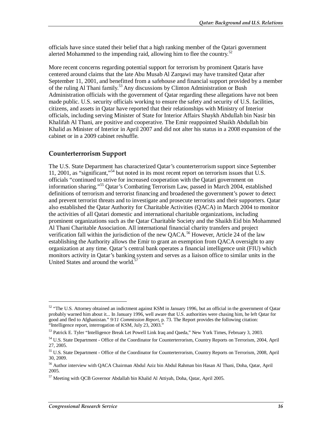officials have since stated their belief that a high ranking member of the Qatari government alerted Mohammed to the impending raid, allowing him to flee the country.<sup>52</sup>

More recent concerns regarding potential support for terrorism by prominent Qataris have centered around claims that the late Abu Musab Al Zarqawi may have transited Qatar after September 11, 2001, and benefitted from a safehouse and financial support provided by a member of the ruling Al Thani family.<sup>53</sup> Any discussions by Clinton Administration or Bush Administration officials with the government of Qatar regarding these allegations have not been made public. U.S. security officials working to ensure the safety and security of U.S. facilities, citizens, and assets in Qatar have reported that their relationships with Ministry of Interior officials, including serving Minister of State for Interior Affairs Shaykh Abdullah bin Nasir bin Khalifah Al Thani, are positive and cooperative. The Emir reappointed Shaikh Abdullah bin Khalid as Minister of Interior in April 2007 and did not alter his status in a 2008 expansion of the cabinet or in a 2009 cabinet reshuffle.

### **Counterterrorism Support**

The U.S. State Department has characterized Qatar's counterterrorism support since September 11, 2001, as "significant,"54 but noted in its most recent report on terrorism issues that U.S. officials "continued to strive for increased cooperation with the Qatari government on information sharing."55 Qatar's Combating Terrorism Law, passed in March 2004, established definitions of terrorism and terrorist financing and broadened the government's power to detect and prevent terrorist threats and to investigate and prosecute terrorists and their supporters. Qatar also established the Qatar Authority for Charitable Activities (QACA) in March 2004 to monitor the activities of all Qatari domestic and international charitable organizations, including prominent organizations such as the Qatar Charitable Society and the Shaikh Eid bin Mohammed Al Thani Charitable Association. All international financial charity transfers and project verification fall within the jurisdiction of the new QACA.<sup>56</sup> However, Article 24 of the law establishing the Authority allows the Emir to grant an exemption from QACA oversight to any organization at any time. Qatar's central bank operates a financial intelligence unit (FIU) which monitors activity in Qatar's banking system and serves as a liaison office to similar units in the United States and around the world. $57$ 

**.** 

<sup>&</sup>lt;sup>52</sup> "The U.S. Attorney obtained an indictment against KSM in January 1996, but an official in the government of Qatar probably warned him about it... In January 1996, well aware that U.S. authorities were chasing him, he left Qatar for good and fled to Afghanistan." *9/11 Commission Report*, p. 73. The Report provides the following citation: "Intelligence report, interrogation of KSM, July 23, 2003."

<sup>&</sup>lt;sup>53</sup> Patrick E. Tyler "Intelligence Break Let Powell Link Iraq and Qaeda," New York Times, February 3, 2003.

<sup>&</sup>lt;sup>54</sup> U.S. State Department - Office of the Coordinator for Counterterrorism, Country Reports on Terrorism, 2004, April 27, 2005.

<sup>&</sup>lt;sup>55</sup> U.S. State Department - Office of the Coordinator for Counterterrorism, Country Reports on Terrorism, 2008, April 30, 2009.

<sup>56</sup> Author interview with QACA Chairman Abdul Aziz bin Abdul Rahman bin Hasan Al Thani, Doha, Qatar, April 2005.

 $57$  Meeting with QCB Governor Abdallah bin Khalid Al Attiyah, Doha, Qatar, April 2005.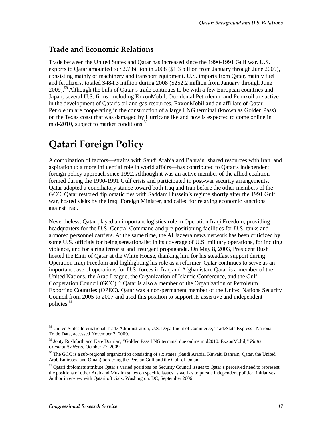### **Trade and Economic Relations**

Trade between the United States and Qatar has increased since the 1990-1991 Gulf war. U.S. exports to Qatar amounted to \$2.7 billion in 2008 (\$1.3 billion from January through June 2009), consisting mainly of machinery and transport equipment. U.S. imports from Qatar, mainly fuel and fertilizers, totaled \$484.3 million during 2008 (\$252.2 million from January through June 2009).<sup>58</sup> Although the bulk of Qatar's trade continues to be with a few European countries and Japan, several U.S. firms, including ExxonMobil, Occidental Petroleum, and Pennzoil are active in the development of Qatar's oil and gas resources. ExxonMobil and an affiliate of Qatar Petroleum are cooperating in the construction of a large LNG terminal (known as Golden Pass) on the Texas coast that was damaged by Hurricane Ike and now is expected to come online in mid-2010, subject to market conditions.<sup>59</sup>

# **Qatari Foreign Policy**

A combination of factors—strains with Saudi Arabia and Bahrain, shared resources with Iran, and aspiration to a more influential role in world affairs—has contributed to Qatar's independent foreign policy approach since 1992. Although it was an active member of the allied coalition formed during the 1990-1991 Gulf crisis and participated in post-war security arrangements, Qatar adopted a conciliatory stance toward both Iraq and Iran before the other members of the GCC. Qatar restored diplomatic ties with Saddam Hussein's regime shortly after the 1991 Gulf war, hosted visits by the Iraqi Foreign Minister, and called for relaxing economic sanctions against Iraq.

Nevertheless, Qatar played an important logistics role in Operation Iraqi Freedom, providing headquarters for the U.S. Central Command and pre-positioning facilities for U.S. tanks and armored personnel carriers. At the same time, the Al Jazeera news network has been criticized by some U.S. officials for being sensationalist in its coverage of U.S. military operations, for inciting violence, and for airing terrorist and insurgent propaganda. On May 8, 2003, President Bush hosted the Emir of Qatar at the White House, thanking him for his steadfast support during Operation Iraqi Freedom and highlighting his role as a reformer. Qatar continues to serve as an important base of operations for U.S. forces in Iraq and Afghanistan. Qatar is a member of the United Nations, the Arab League, the Organization of Islamic Conference, and the Gulf Cooperation Council (GCC).<sup>60</sup> Qatar is also a member of the Organization of Petroleum Exporting Countries (OPEC). Qatar was a non-permanent member of the United Nations Security Council from 2005 to 2007 and used this position to support its assertive and independent policies.<sup>61</sup>

<sup>58</sup> United States International Trade Administration, U.S. Department of Commerce, TradeStats Express - National Trade Data, accessed November 3, 2009.

<sup>59</sup> Jonty Rushforth and Kate Dourian, "Golden Pass LNG terminal due online mid2010: ExxonMobil," *Platts Commodity News*, October 27, 2009.

<sup>&</sup>lt;sup>60</sup> The GCC is a sub-regional organization consisting of six states (Saudi Arabia, Kuwait, Bahrain, Qatar, the United Arab Emirates, and Oman) bordering the Persian Gulf and the Gulf of Oman.

<sup>&</sup>lt;sup>61</sup> Qatari diplomats attribute Qatar's varied positions on Security Council issues to Qatar's perceived need to represent the positions of other Arab and Muslim states on specific issues as well as to pursue independent political initiatives. Author interview with Qatari officials, Washington, DC, September 2006.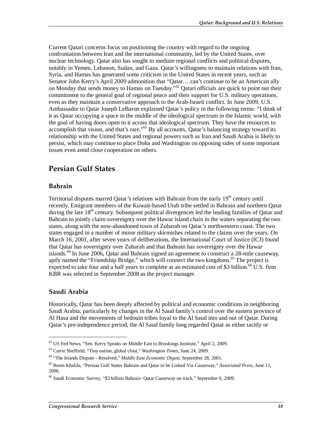Current Qatari concerns focus on positioning the country with regard to the ongoing confrontation between Iran and the international community, led by the United States, over nuclear technology. Qatar also has sought to mediate regional conflicts and political disputes, notably in Yemen, Lebanon, Sudan, and Gaza. Qatar's willingness to maintain relations with Iran, Syria, and Hamas has generated some criticism in the United States in recent years, such as Senator John Kerry's April 2009 admonition that "Qatar… can't continue to be an American ally on Monday that sends money to Hamas on Tuesday.<sup>562</sup> Oatari officials are quick to point out their commitment to the general goal of regional peace and their support for U.S. military operations, even as they maintain a conservative approach to the Arab-Israeli conflict. In June 2009, U.S. Ambassador to Qatar Joseph LeBaron explained Qatar's policy in the following terms: "I think of it as Qatar occupying a space in the middle of the ideological spectrum in the Islamic world, with the goal of having doors open to it across that ideological spectrum. They have the resources to accomplish that vision, and that's rare."<sup>63</sup> By all accounts, Qatar's balancing strategy toward its relationship with the United States and regional powers such as Iran and Saudi Arabia is likely to persist, which may continue to place Doha and Washington on opposing sides of some important issues even amid close cooperation on others.

### **Persian Gulf States**

### **Bahrain**

Territorial disputes marred Qatar's relations with Bahrain from the early  $19<sup>th</sup>$  century until recently. Emigrant members of the Kuwait-based Utub tribe settled in Bahrain and northern Qatar during the late  $18<sup>th</sup>$  century. Subsequent political divergences led the leading families of Oatar and Bahrain to jointly claim sovereignty over the Hawar island chain in the waters separating the two states, along with the now-abandoned town of Zubarah on Qatar's northwestern coast. The two states engaged in a number of minor military skirmishes related to the claims over the years. On March 16, 2001, after seven years of deliberations, the International Court of Justice (ICJ) found that Qatar has sovereignty over Zubarah and that Bahrain has sovereignty over the Hawar islands.<sup>64</sup> In June 2006, Oatar and Bahrain signed an agreement to construct a 28-mile causeway, aptly named the "Friendship Bridge," which will connect the two kingdoms.<sup>65</sup> The project is expected to take four and a half years to complete at an estimated cost of \$3 billion.<sup>66</sup> U.S. firm KBR was selected in September 2008 as the project manager.

### **Saudi Arabia**

1

Historically, Qatar has been deeply affected by political and economic conditions in neighboring Saudi Arabia, particularly by changes in the Al Saud family's control over the eastern province of Al Hasa and the movements of bedouin tribes loyal to the Al Saud into and out of Qatar. During Qatar's pre-independence period, the Al Saud family long regarded Qatar as either tacitly or

 $62$  US Fed News, "Sen. Kerry Speaks on Middle East to Brookings Institute," April 2, 2009.

<sup>63</sup> Carrie Sheffield, "Tiny nation, global clout," *Washington Times*, June 24, 2009.

<sup>64 &</sup>quot;The Islands Dispute - Resolved," *Middle East Economic Digest*, September 28, 2001.

<sup>65</sup> Reem Khalifa, "Persian Gulf States Bahrain and Qatar to be Linked Via Causeway," *Associated Press*, June 11, 2006.

<sup>66</sup> Saudi Economic Survey, "\$3 billion Bahrain- Qatar Causeway on track," September 6, 2009.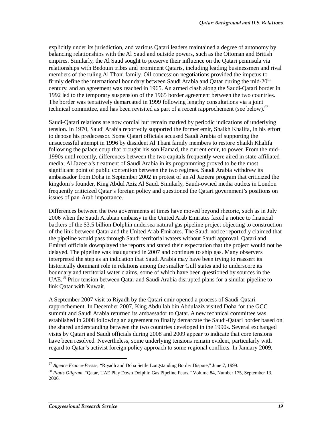explicitly under its jurisdiction, and various Qatari leaders maintained a degree of autonomy by balancing relationships with the Al Saud and outside powers, such as the Ottoman and British empires. Similarly, the Al Saud sought to preserve their influence on the Qatari peninsula via relationships with Bedouin tribes and prominent Qataris, including leading businessmen and rival members of the ruling Al Thani family. Oil concession negotiations provided the impetus to firmly define the international boundary between Saudi Arabia and Oatar during the mid- $20<sup>th</sup>$ century, and an agreement was reached in 1965. An armed clash along the Saudi-Qatari border in 1992 led to the temporary suspension of the 1965 border agreement between the two countries. The border was tentatively demarcated in 1999 following lengthy consultations via a joint technical committee, and has been revisited as part of a recent rapprochement (see below).<sup>67</sup>

Saudi-Qatari relations are now cordial but remain marked by periodic indications of underlying tension. In 1970, Saudi Arabia reportedly supported the former emir, Shaikh Khalifa, in his effort to depose his predecessor. Some Qatari officials accused Saudi Arabia of supporting the unsuccessful attempt in 1996 by dissident Al Thani family members to restore Shaikh Khalifa following the palace coup that brought his son Hamad, the current emir, to power. From the mid-1990s until recently, differences between the two capitals frequently were aired in state-affiliated media; Al Jazeera's treatment of Saudi Arabia in its programming proved to be the most significant point of public contention between the two regimes. Saudi Arabia withdrew its ambassador from Doha in September 2002 in protest of an Al Jazeera program that criticized the kingdom's founder, King Abdul Aziz Al Saud. Similarly, Saudi-owned media outlets in London frequently criticized Qatar's foreign policy and questioned the Qatari government's positions on issues of pan-Arab importance.

Differences between the two governments at times have moved beyond rhetoric, such as in July 2006 when the Saudi Arabian embassy in the United Arab Emirates faxed a notice to financial backers of the \$3.5 billion Dolphin undersea natural gas pipeline project objecting to construction of the link between Qatar and the United Arab Emirates. The Saudi notice reportedly claimed that the pipeline would pass through Saudi territorial waters without Saudi approval. Qatari and Emirati officials downplayed the reports and stated their expectation that the project would not be delayed. The pipeline was inaugurated in 2007 and continues to ship gas. Many observers interpreted the step as an indication that Saudi Arabia may have been trying to reassert its historically dominant role in relations among the smaller Gulf states and to underscore its boundary and territorial water claims, some of which have been questioned by sources in the UAE.<sup>68</sup> Prior tension between Qatar and Saudi Arabia disrupted plans for a similar pipeline to link Qatar with Kuwait.

A September 2007 visit to Riyadh by the Qatari emir opened a process of Saudi-Qatari rapprochement. In December 2007, King Abdullah bin Abdulaziz visited Doha for the GCC summit and Saudi Arabia returned its ambassador to Qatar. A new technical committee was established in 2008 following an agreement to finally demarcate the Saudi-Qatari border based on the shared understanding between the two countries developed in the 1990s. Several exchanged visits by Qatari and Saudi officials during 2008 and 2009 appear to indicate that core tensions have been resolved. Nevertheless, some underlying tensions remain evident, particularly with regard to Qatar's activist foreign policy approach to some regional conflicts. In January 2009,

<sup>67</sup> *Agence France-Presse*, "Riyadh and Doha Settle Longstanding Border Dispute," June 7, 1999.

<sup>68</sup> *Platts Oilgram*, "Qatar, UAE Play Down Dolphin Gas Pipeline Fears," Volume 84, Number 175, September 13, 2006.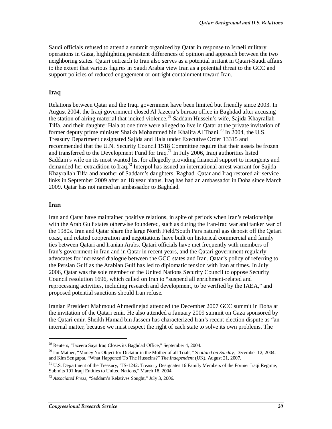Saudi officials refused to attend a summit organized by Qatar in response to Israeli military operations in Gaza, highlighting persistent differences of opinion and approach between the two neighboring states. Qatari outreach to Iran also serves as a potential irritant in Qatari-Saudi affairs to the extent that various figures in Saudi Arabia view Iran as a potential threat to the GCC and support policies of reduced engagement or outright containment toward Iran.

### **Iraq**

Relations between Qatar and the Iraqi government have been limited but friendly since 2003. In August 2004, the Iraqi government closed Al Jazeera's bureau office in Baghdad after accusing the station of airing material that incited violence.<sup>69</sup> Saddam Hussein's wife, Sajida Khayrallah Tilfa, and their daughter Hala at one time were alleged to live in Qatar at the private invitation of former deputy prime minister Shaikh Mohammed bin Khalifa Al Thani.<sup>70</sup> In 2004, the U.S. Treasury Department designated Sajida and Hala under Executive Order 13315 and recommended that the U.N. Security Council 1518 Committee require that their assets be frozen and transferred to the Development Fund for Iraq.<sup>71</sup> In July 2006, Iraqi authorities listed Saddam's wife on its most wanted list for allegedly providing financial support to insurgents and demanded her extradition to Iraq.72 Interpol has issued an international arrest warrant for Sajida Khayrallah Tilfa and another of Saddam's daughters, Raghad. Qatar and Iraq restored air service links in September 2009 after an 18 year hiatus. Iraq has had an ambassador in Doha since March 2009. Qatar has not named an ambassador to Baghdad.

#### **Iran**

**.** 

Iran and Qatar have maintained positive relations, in spite of periods when Iran's relationships with the Arab Gulf states otherwise foundered, such as during the Iran-Iraq war and tanker war of the 1980s. Iran and Qatar share the large North Field/South Pars natural gas deposit off the Qatari coast, and related cooperation and negotiations have built on historical commercial and family ties between Qatari and Iranian Arabs. Qatari officials have met frequently with members of Iran's government in Iran and in Qatar in recent years, and the Qatari government regularly advocates for increased dialogue between the GCC states and Iran. Qatar's policy of referring to the Persian Gulf as the Arabian Gulf has led to diplomatic tension with Iran at times. In July 2006, Qatar was the sole member of the United Nations Security Council to oppose Security Council resolution 1696, which called on Iran to "suspend all enrichment-related and reprocessing activities, including research and development, to be verified by the IAEA," and proposed potential sanctions should Iran refuse.

Iranian President Mahmoud Ahmedinejad attended the December 2007 GCC summit in Doha at the invitation of the Qatari emir. He also attended a January 2009 summit on Gaza sponsored by the Qatari emir. Sheikh Hamad bin Jassem has characterized Iran's recent election dispute as "an internal matter, because we must respect the right of each state to solve its own problems. The

<sup>69</sup> Reuters, "Jazeera Says Iraq Closes its Baghdad Office," September 4, 2004.

<sup>70</sup> Ian Mather, "Money No Object for Dictator in the Mother of all Trials," *Scotland on Sunday*, December 12, 2004; and Kim Sengupta, "What Happened To The Husseins?" *The Independent* (UK), August 21, 2007.

<sup>&</sup>lt;sup>71</sup> U.S. Department of the Treasury, "JS-1242: Treasury Designates 16 Family Members of the Former Iraqi Regime, Submits 191 Iraqi Entities to United Nations," March 18, 2004.

<sup>72</sup> *Associated Press*, "Saddam's Relatives Sought," July 3, 2006.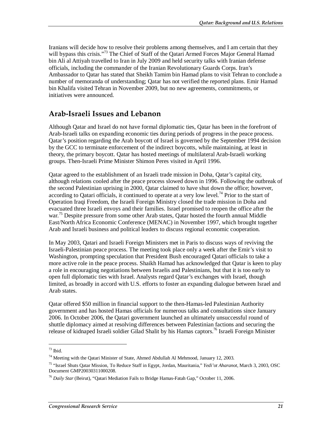Iranians will decide how to resolve their problems among themselves, and I am certain that they will bypass this crisis."<sup>73</sup> The Chief of Staff of the Qatari Armed Forces Major General Hamad bin Ali al Attiyah travelled to Iran in July 2009 and held security talks with Iranian defense officials, including the commander of the Iranian Revolutionary Guards Corps. Iran's Ambassador to Qatar has stated that Sheikh Tamim bin Hamad plans to visit Tehran to conclude a number of memoranda of understanding; Qatar has not verified the reported plans. Emir Hamad bin Khalifa visited Tehran in November 2009, but no new agreements, commitments, or initiatives were announced.

### **Arab-Israeli Issues and Lebanon**

Although Qatar and Israel do not have formal diplomatic ties, Qatar has been in the forefront of Arab-Israeli talks on expanding economic ties during periods of progress in the peace process. Qatar's position regarding the Arab boycott of Israel is governed by the September 1994 decision by the GCC to terminate enforcement of the indirect boycotts, while maintaining, at least in theory, the primary boycott. Qatar has hosted meetings of multilateral Arab-Israeli working groups. Then-Israeli Prime Minister Shimon Peres visited in April 1996.

Qatar agreed to the establishment of an Israeli trade mission in Doha, Qatar's capital city, although relations cooled after the peace process slowed down in 1996. Following the outbreak of the second Palestinian uprising in 2000, Qatar claimed to have shut down the office; however, according to Qatari officials, it continued to operate at a very low level.<sup>74</sup> Prior to the start of Operation Iraqi Freedom, the Israeli Foreign Ministry closed the trade mission in Doha and evacuated three Israeli envoys and their families. Israel promised to reopen the office after the war.<sup>75</sup> Despite pressure from some other Arab states, Oatar hosted the fourth annual Middle East/North Africa Economic Conference (MENAC) in November 1997, which brought together Arab and Israeli business and political leaders to discuss regional economic cooperation.

In May 2003, Qatari and Israeli Foreign Ministers met in Paris to discuss ways of reviving the Israeli-Palestinian peace process. The meeting took place only a week after the Emir's visit to Washington, prompting speculation that President Bush encouraged Qatari officials to take a more active role in the peace process. Shaikh Hamad has acknowledged that Qatar is keen to play a role in encouraging negotiations between Israelis and Palestinians, but that it is too early to open full diplomatic ties with Israel. Analysts regard Qatar's exchanges with Israel, though limited, as broadly in accord with U.S. efforts to foster an expanding dialogue between Israel and Arab states.

Qatar offered \$50 million in financial support to the then-Hamas-led Palestinian Authority government and has hosted Hamas officials for numerous talks and consultations since January 2006. In October 2006, the Qatari government launched an ultimately unsuccessful round of shuttle diplomacy aimed at resolving differences between Palestinian factions and securing the release of kidnaped Israeli soldier Gilad Shalit by his Hamas captors.76 Israeli Foreign Minister

 $73$  Ibid.

 $74$  Meeting with the Qatari Minister of State, Ahmed Abdullah Al Mehmood, January 12, 2003.

<sup>75 &</sup>quot;Israel Shuts Qatar Mission, To Reduce Staff in Egypt, Jordan, Mauritania," *Yedi'ot Aharanot*, March 3, 2003, OSC Document GMP20030311000208.

<sup>76</sup> *Daily Star* (Beirut), "Qatari Mediation Fails to Bridge Hamas-Fatah Gap," October 11, 2006.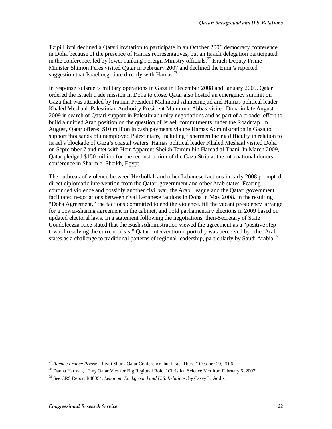Tzipi Livni declined a Qatari invitation to participate in an October 2006 democracy conference in Doha because of the presence of Hamas representatives, but an Israeli delegation participated in the conference, led by lower-ranking Foreign Ministry officials.<sup>77</sup> Israeli Deputy Prime Minister Shimon Peres visited Qatar in February 2007 and declined the Emir's reported suggestion that Israel negotiate directly with Hamas.<sup>78</sup>

In response to Israel's military operations in Gaza in December 2008 and January 2009, Qatar ordered the Israeli trade mission in Doha to close. Qatar also hosted an emergency summit on Gaza that was attended by Iranian President Mahmoud Ahmedinejad and Hamas political leader Khaled Meshaal. Palestinian Authority President Mahmoud Abbas visited Doha in late August 2009 in search of Qatari support in Palestinian unity negotiations and as part of a broader effort to build a unified Arab position on the question of Israeli commitments under the Roadmap. In August, Qatar offered \$10 million in cash payments via the Hamas Administration in Gaza to support thousands of unemployed Palestinians, including fishermen facing difficulty in relation to Israel's blockade of Gaza's coastal waters. Hamas political leader Khaled Meshaal visited Doha on September 7 and met with Heir Apparent Sheikh Tamim bin Hamad al Thani. In March 2009, Qatar pledged \$150 million for the reconstruction of the Gaza Strip at the international donors conference in Sharm el Sheikh, Egypt.

The outbreak of violence between Hezbollah and other Lebanese factions in early 2008 prompted direct diplomatic intervention from the Qatari government and other Arab states. Fearing continued violence and possibly another civil war, the Arab League and the Qatari government facilitated negotiations between rival Lebanese factions in Doha in May 2008. In the resulting "Doha Agreement," the factions committed to end the violence, fill the vacant presidency, arrange for a power-sharing agreement in the cabinet, and hold parliamentary elections in 2009 based on updated electoral laws. In a statement following the negotiations, then-Secretary of State Condoleezza Rice stated that the Bush Administration viewed the agreement as a "positive step toward resolving the current crisis." Qatari intervention reportedly was perceived by other Arab states as a challenge to traditional patterns of regional leadership, particularly by Saudi Arabia.<sup>79</sup>

<sup>77</sup> *Agence France Presse*, "Livni Shuns Qatar Conference, but Israel There," October 29, 2006.

<sup>78</sup> Danna Harman, "Tiny Qatar Vies for Big Regional Role," Christian Science Monitor, February 6, 2007.

<sup>79</sup> See CRS Report R40054, *Lebanon: Background and U.S. Relations*, by Casey L. Addis.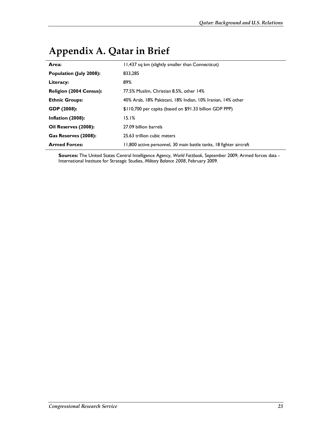| . .                            |                                                                    |
|--------------------------------|--------------------------------------------------------------------|
| Area:                          | 11,437 sq km (slightly smaller than Connecticut)                   |
| Population (July 2008):        | 833,285                                                            |
| Literacy:                      | 89%                                                                |
| <b>Religion (2004 Census):</b> | 77.5% Muslim, Christian 8.5%, other 14%                            |
| <b>Ethnic Groups:</b>          | 40% Arab, 18% Pakistani, 18% Indian, 10% Iranian, 14% other        |
| GDP (2008):                    | \$110,700 per capita (based on \$91.33 billion GDP PPP)            |
| Inflation (2008):              | 15.1%                                                              |
| Oil Reserves (2008):           | 27.09 billion barrels                                              |
| Gas Reserves (2008):           | 25.63 trillion cubic meters                                        |
| <b>Armed Forces:</b>           | 11,800 active personnel, 30 main battle tanks, 18 fighter aircraft |

# **Appendix A. Qatar in Brief**

**Sources:** The United States Central Intelligence Agency, *World Factbook*, September 2009; Armed forces data - International Institute for Strategic Studies, *Military Balance 2008*, February 2009.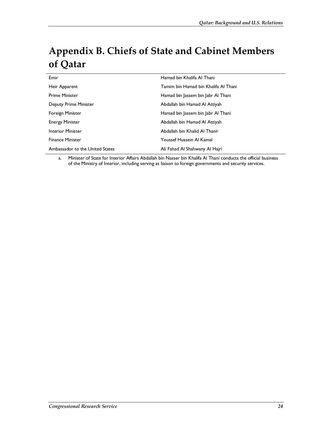# **Appendix B. Chiefs of State and Cabinet Members of Qatar**

| Emir                            | Hamad bin Khalifa Al Thani           |
|---------------------------------|--------------------------------------|
| Heir Apparent                   | Tamim bin Hamad bin Khalifa Al Thani |
| <b>Prime Minister</b>           | Hamad bin Jassem bin Jabr Al Thani   |
| Deputy Prime Minister           | Abdallah bin Hamad Al Attiyah        |
| <b>Foreign Minister</b>         | Hamad bin Jassem bin Jabr Al Thani   |
| <b>Energy Minister</b>          | Abdallah bin Hamad Al Attiyah        |
| <b>Interior Minister</b>        | Abdallah bin Khalid Al Thania        |
| <b>Finance Minister</b>         | Youssef Hussein Al Kamal             |
| Ambassador to the United States | Ali Fahad Al Shahwany Al Hajri       |

a. Minister of State for Interior Affairs Abdallah bin Nasser bin Khalifa Al Thani conducts the official business of the Ministry of Interior, including serving as liaison to foreign governments and security services.

 $\overline{a}$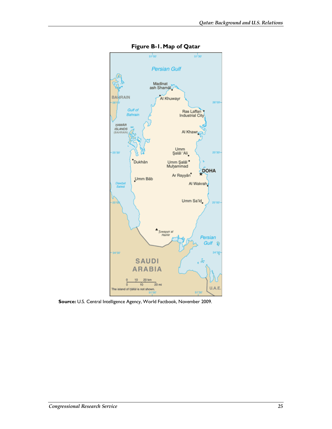

**Figure B-1. Map of Qatar** 

**Source:** U.S. Central Intelligence Agency, World Factbook, November 2009.